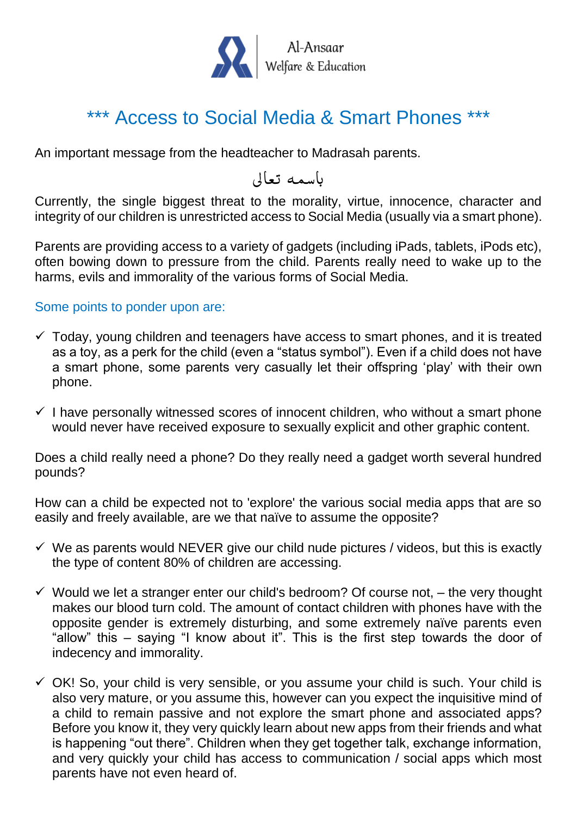

## \*\*\* Access to Social Media & Smart Phones \*\*\*

An important message from the headteacher to Madrasah parents.

باسمه تعالى

Currently, the single biggest threat to the morality, virtue, innocence, character and integrity of our children is unrestricted access to Social Media (usually via a smart phone).

Parents are providing access to a variety of gadgets (including iPads, tablets, iPods etc), often bowing down to pressure from the child. Parents really need to wake up to the harms, evils and immorality of the various forms of Social Media.

Some points to ponder upon are:

- $\checkmark$  Today, young children and teenagers have access to smart phones, and it is treated as a toy, as a perk for the child (even a "status symbol"). Even if a child does not have a smart phone, some parents very casually let their offspring 'play' with their own phone.
- $\checkmark$  I have personally witnessed scores of innocent children, who without a smart phone would never have received exposure to sexually explicit and other graphic content.

Does a child really need a phone? Do they really need a gadget worth several hundred pounds?

How can a child be expected not to 'explore' the various social media apps that are so easily and freely available, are we that naïve to assume the opposite?

- $\checkmark$  We as parents would NEVER give our child nude pictures / videos, but this is exactly the type of content 80% of children are accessing.
- $\checkmark$  Would we let a stranger enter our child's bedroom? Of course not,  $-$  the very thought makes our blood turn cold. The amount of contact children with phones have with the opposite gender is extremely disturbing, and some extremely naïve parents even "allow" this – saying "I know about it". This is the first step towards the door of indecency and immorality.
- $\checkmark$  OK! So, your child is very sensible, or you assume your child is such. Your child is also very mature, or you assume this, however can you expect the inquisitive mind of a child to remain passive and not explore the smart phone and associated apps? Before you know it, they very quickly learn about new apps from their friends and what is happening "out there". Children when they get together talk, exchange information, and very quickly your child has access to communication / social apps which most parents have not even heard of.